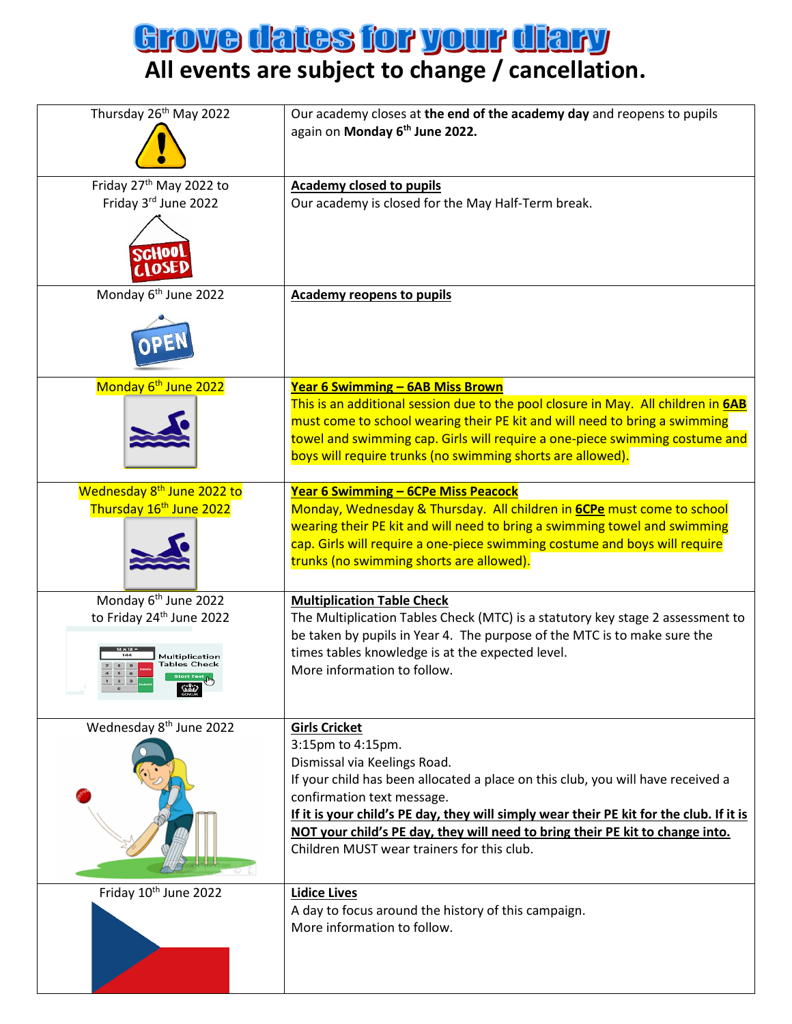## **Arove dates for your diary**<br>All events are subject to change / cancellation.

| Thursday 26 <sup>th</sup> May 2022                                                                                | Our academy closes at the end of the academy day and reopens to pupils<br>again on Monday 6th June 2022.                                                                                                                                                                                                                                                                                                             |
|-------------------------------------------------------------------------------------------------------------------|----------------------------------------------------------------------------------------------------------------------------------------------------------------------------------------------------------------------------------------------------------------------------------------------------------------------------------------------------------------------------------------------------------------------|
| Friday 27 <sup>th</sup> May 2022 to<br>Friday 3rd June 2022                                                       | <b>Academy closed to pupils</b><br>Our academy is closed for the May Half-Term break.                                                                                                                                                                                                                                                                                                                                |
| Monday 6 <sup>th</sup> June 2022                                                                                  | <b>Academy reopens to pupils</b>                                                                                                                                                                                                                                                                                                                                                                                     |
| Monday 6 <sup>th</sup> June 2022                                                                                  | <b>Year 6 Swimming - 6AB Miss Brown</b><br>This is an additional session due to the pool closure in May. All children in <b>6AB</b><br>must come to school wearing their PE kit and will need to bring a swimming<br>towel and swimming cap. Girls will require a one-piece swimming costume and<br>boys will require trunks (no swimming shorts are allowed).                                                       |
| Wednesday 8 <sup>th</sup> June 2022 to<br>Thursday 16 <sup>th</sup> June 2022                                     | Year 6 Swimming - 6CPe Miss Peacock<br>Monday, Wednesday & Thursday. All children in <b>6CPe</b> must come to school<br>wearing their PE kit and will need to bring a swimming towel and swimming<br>cap. Girls will require a one-piece swimming costume and boys will require<br>trunks (no swimming shorts are allowed).                                                                                          |
| Monday 6 <sup>th</sup> June 2022<br>to Friday 24 <sup>th</sup> June 2022<br>Multiplication<br><b>Tables Check</b> | <b>Multiplication Table Check</b><br>The Multiplication Tables Check (MTC) is a statutory key stage 2 assessment to<br>be taken by pupils in Year 4. The purpose of the MTC is to make sure the<br>times tables knowledge is at the expected level.<br>More information to follow.                                                                                                                                   |
| Wednesday 8 <sup>th</sup> June 2022                                                                               | <b>Girls Cricket</b><br>3:15pm to 4:15pm.<br>Dismissal via Keelings Road.<br>If your child has been allocated a place on this club, you will have received a<br>confirmation text message.<br>If it is your child's PE day, they will simply wear their PE kit for the club. If it is<br>NOT your child's PE day, they will need to bring their PE kit to change into.<br>Children MUST wear trainers for this club. |
| Friday 10th June 2022                                                                                             | <b>Lidice Lives</b><br>A day to focus around the history of this campaign.<br>More information to follow.                                                                                                                                                                                                                                                                                                            |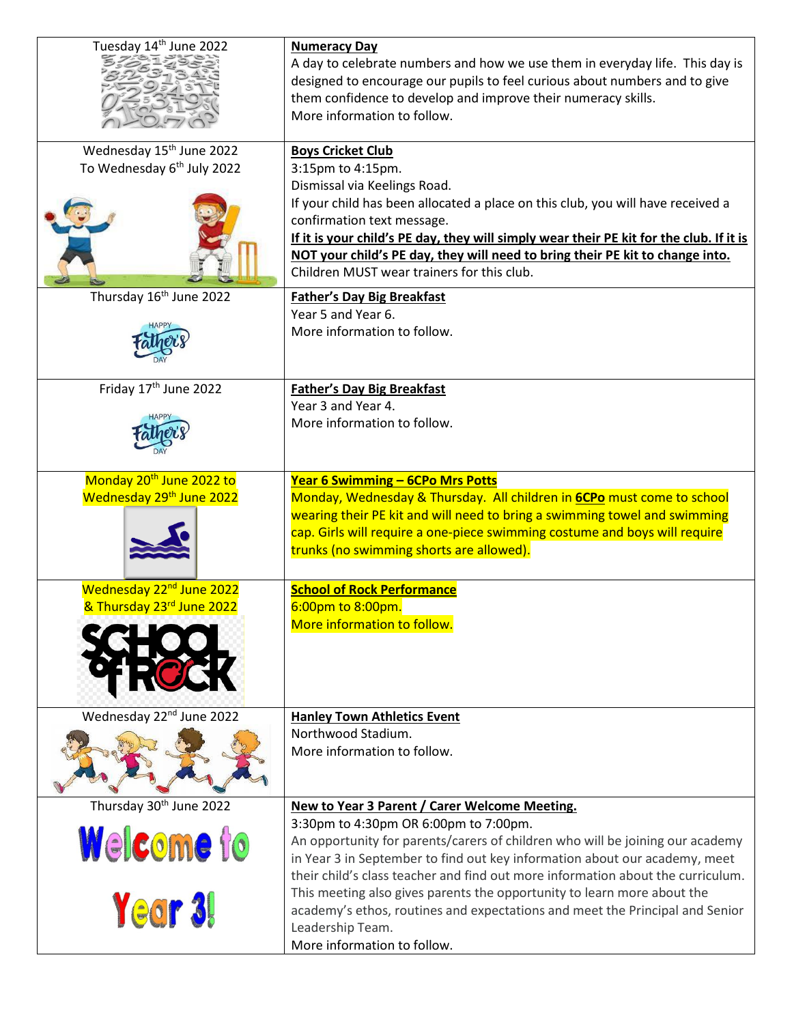| Tuesday 14 <sup>th</sup> June 2022     | <b>Numeracy Day</b>                                                                     |
|----------------------------------------|-----------------------------------------------------------------------------------------|
|                                        | A day to celebrate numbers and how we use them in everyday life. This day is            |
|                                        | designed to encourage our pupils to feel curious about numbers and to give              |
|                                        | them confidence to develop and improve their numeracy skills.                           |
|                                        | More information to follow.                                                             |
|                                        |                                                                                         |
| Wednesday 15 <sup>th</sup> June 2022   | <b>Boys Cricket Club</b>                                                                |
| To Wednesday 6 <sup>th</sup> July 2022 | 3:15pm to 4:15pm.                                                                       |
|                                        | Dismissal via Keelings Road.                                                            |
|                                        | If your child has been allocated a place on this club, you will have received a         |
|                                        |                                                                                         |
|                                        | confirmation text message.                                                              |
|                                        | If it is your child's PE day, they will simply wear their PE kit for the club. If it is |
|                                        | NOT your child's PE day, they will need to bring their PE kit to change into.           |
|                                        | Children MUST wear trainers for this club.                                              |
| Thursday 16 <sup>th</sup> June 2022    | <b>Father's Day Big Breakfast</b>                                                       |
|                                        | Year 5 and Year 6.                                                                      |
|                                        | More information to follow.                                                             |
|                                        |                                                                                         |
|                                        |                                                                                         |
| Friday 17 <sup>th</sup> June 2022      | <b>Father's Day Big Breakfast</b>                                                       |
|                                        | Year 3 and Year 4.                                                                      |
|                                        | More information to follow.                                                             |
|                                        |                                                                                         |
|                                        |                                                                                         |
|                                        |                                                                                         |
| Monday 20 <sup>th</sup> June 2022 to   | Year 6 Swimming - 6CPo Mrs Potts                                                        |
| Wednesday 29 <sup>th</sup> June 2022   | Monday, Wednesday & Thursday. All children in 6CPo must come to school                  |
|                                        | wearing their PE kit and will need to bring a swimming towel and swimming               |
|                                        | cap. Girls will require a one-piece swimming costume and boys will require              |
|                                        | trunks (no swimming shorts are allowed).                                                |
|                                        |                                                                                         |
| Wednesday 22 <sup>nd</sup> June 2022   | <b>School of Rock Performance</b>                                                       |
| & Thursday 23rd June 2022              | 6:00pm to 8:00pm.                                                                       |
|                                        | More information to follow.                                                             |
|                                        |                                                                                         |
|                                        |                                                                                         |
|                                        |                                                                                         |
|                                        |                                                                                         |
| Wednesday 22 <sup>nd</sup> June 2022   | <b>Hanley Town Athletics Event</b>                                                      |
|                                        | Northwood Stadium.                                                                      |
|                                        | More information to follow.                                                             |
|                                        |                                                                                         |
|                                        |                                                                                         |
| Thursday 30th June 2022                | New to Year 3 Parent / Carer Welcome Meeting.                                           |
|                                        | 3:30pm to 4:30pm OR 6:00pm to 7:00pm.                                                   |
|                                        | An opportunity for parents/carers of children who will be joining our academy           |
| Welcome to                             |                                                                                         |
|                                        | in Year 3 in September to find out key information about our academy, meet              |
|                                        | their child's class teacher and find out more information about the curriculum.         |
|                                        | This meeting also gives parents the opportunity to learn more about the                 |
| Year 3!                                | academy's ethos, routines and expectations and meet the Principal and Senior            |
|                                        | Leadership Team.                                                                        |
|                                        | More information to follow.                                                             |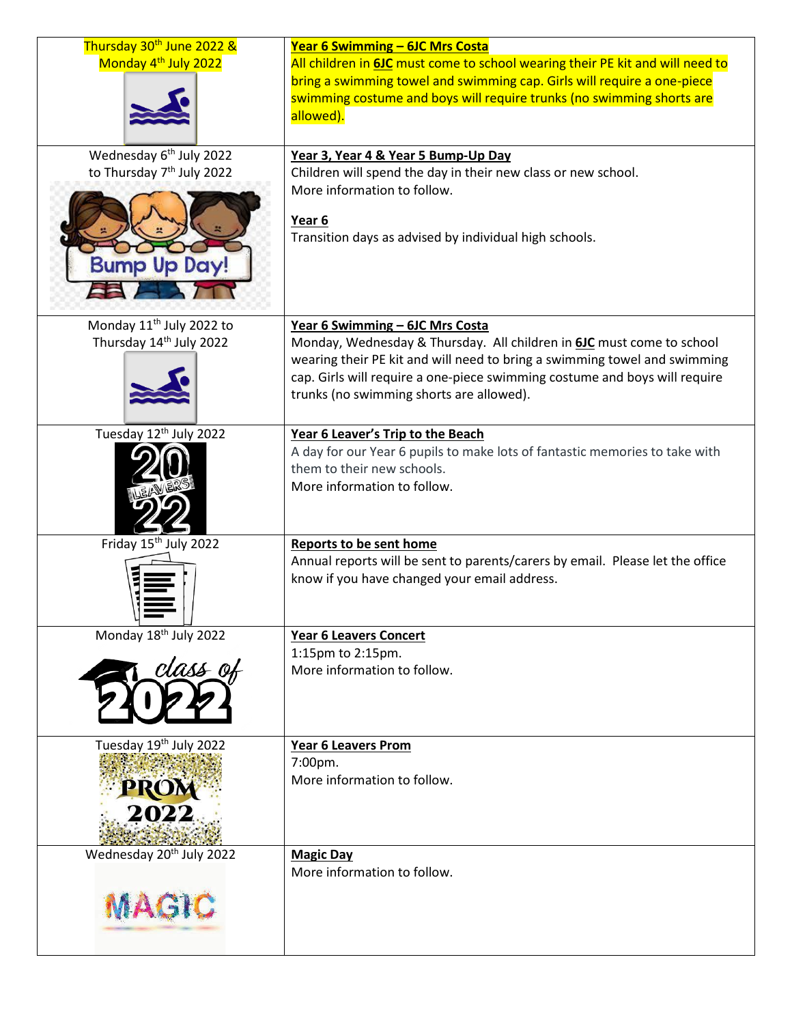| Thursday 30 <sup>th</sup> June 2022 &<br>Monday 4 <sup>th</sup> July 2022                           | Year 6 Swimming - 6JC Mrs Costa<br>All children in 6JC must come to school wearing their PE kit and will need to<br>bring a swimming towel and swimming cap. Girls will require a one-piece<br>swimming costume and boys will require trunks (no swimming shorts are<br>allowed).                               |
|-----------------------------------------------------------------------------------------------------|-----------------------------------------------------------------------------------------------------------------------------------------------------------------------------------------------------------------------------------------------------------------------------------------------------------------|
| Wednesday 6 <sup>th</sup> July 2022<br>to Thursday 7 <sup>th</sup> July 2022<br><b>Bump Up Day!</b> | Year 3, Year 4 & Year 5 Bump-Up Day<br>Children will spend the day in their new class or new school.<br>More information to follow.<br>Year 6<br>Transition days as advised by individual high schools.                                                                                                         |
| Monday 11 <sup>th</sup> July 2022 to<br>Thursday 14 <sup>th</sup> July 2022                         | Year 6 Swimming - 6JC Mrs Costa<br>Monday, Wednesday & Thursday. All children in 6JC must come to school<br>wearing their PE kit and will need to bring a swimming towel and swimming<br>cap. Girls will require a one-piece swimming costume and boys will require<br>trunks (no swimming shorts are allowed). |
| Tuesday 12th July 2022                                                                              | Year 6 Leaver's Trip to the Beach<br>A day for our Year 6 pupils to make lots of fantastic memories to take with<br>them to their new schools.<br>More information to follow.                                                                                                                                   |
| Friday 15 <sup>th</sup> July 2022                                                                   | <b>Reports to be sent home</b><br>Annual reports will be sent to parents/carers by email. Please let the office<br>know if you have changed your email address.                                                                                                                                                 |
| Monday 18th July 2022<br>class of                                                                   | <b>Year 6 Leavers Concert</b><br>1:15pm to 2:15pm.<br>More information to follow.                                                                                                                                                                                                                               |
| Tuesday 19th July 2022<br>PROM<br>2022                                                              | <b>Year 6 Leavers Prom</b><br>7:00pm.<br>More information to follow.                                                                                                                                                                                                                                            |
| Wednesday 20 <sup>th</sup> July 2022<br>MAGIC                                                       | <b>Magic Day</b><br>More information to follow.                                                                                                                                                                                                                                                                 |